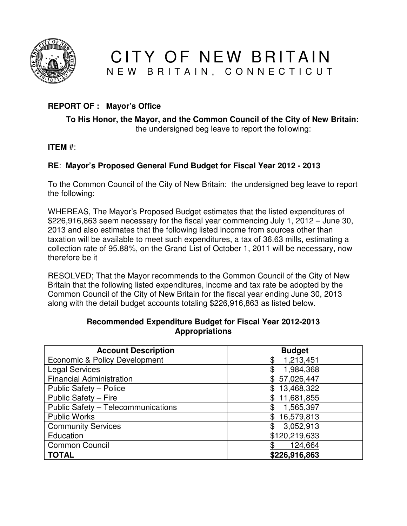

CITY OF NEW BRITAIN N E W B R I T A I N, C O N N E C T I C U T

# **REPORT OF : Mayor's Office**

#### **To His Honor, the Mayor, and the Common Council of the City of New Britain:**  the undersigned beg leave to report the following:

**ITEM** #:

# **RE**: **Mayor's Proposed General Fund Budget for Fiscal Year 2012 - 2013**

To the Common Council of the City of New Britain: the undersigned beg leave to report the following:

WHEREAS, The Mayor's Proposed Budget estimates that the listed expenditures of \$226,916,863 seem necessary for the fiscal year commencing July 1, 2012 – June 30, 2013 and also estimates that the following listed income from sources other than taxation will be available to meet such expenditures, a tax of 36.63 mills, estimating a collection rate of 95.88%, on the Grand List of October 1, 2011 will be necessary, now therefore be it

RESOLVED; That the Mayor recommends to the Common Council of the City of New Britain that the following listed expenditures, income and tax rate be adopted by the Common Council of the City of New Britain for the fiscal year ending June 30, 2013 along with the detail budget accounts totaling \$226,916,863 as listed below.

| <b>Account Description</b>               | <b>Budget</b>    |
|------------------------------------------|------------------|
| <b>Economic &amp; Policy Development</b> | 1,213,451<br>\$  |
| <b>Legal Services</b>                    | 1,984,368<br>\$  |
| <b>Financial Administration</b>          | \$57,026,447     |
| Public Safety - Police                   | \$13,468,322     |
| Public Safety - Fire                     | 11,681,855<br>\$ |
| Public Safety - Telecommunications       | 1,565,397<br>\$  |
| <b>Public Works</b>                      | 16,579,813<br>\$ |
| <b>Community Services</b>                | 3,052,913<br>\$  |
| Education                                | \$120,219,633    |
| <b>Common Council</b>                    | 124,664          |
| <b>TOTAL</b>                             | \$226,916,863    |

#### **Recommended Expenditure Budget for Fiscal Year 2012-2013 Appropriations**